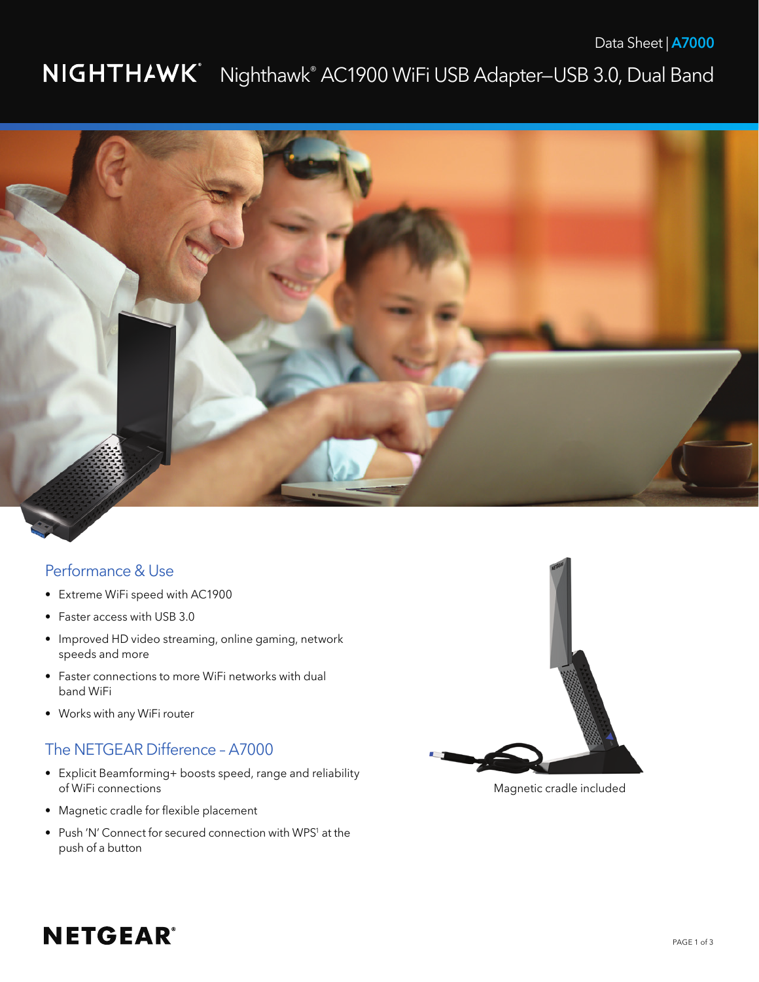## Nighthawk® AC1900 WiFi USB Adapter—USB 3.0, Dual Band



### Performance & Use

- Extreme WiFi speed with AC1900
- Faster access with USB 3.0
- Improved HD video streaming, online gaming, network speeds and more
- Faster connections to more WiFi networks with dual band WiFi
- Works with any WiFi router

## The NETGEAR Difference – A7000

- Explicit Beamforming+ boosts speed, range and reliability of WiFi connections
- • Magnetic cradle for flexible placement
- Push 'N' Connect for secured connection with WPS<sup>1</sup> at the push of a button



Magnetic cradle included

# **NETGEAR®**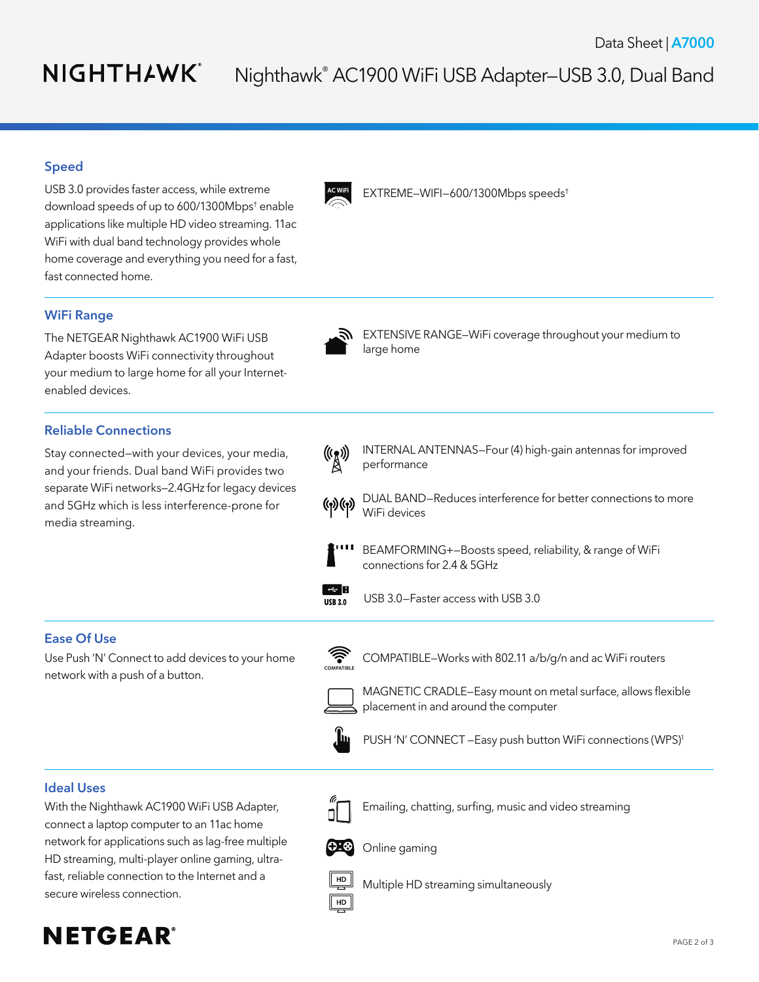# NIGHTHAWK®

# Nighthawk® AC1900 WiFi USB Adapter—USB 3.0, Dual Band

### Speed

USB 3.0 provides faster access, while extreme download speeds of up to 600/1300Mbps† enable applications like multiple HD video streaming. 11ac WiFi with dual band technology provides whole home coverage and everything you need for a fast, fast connected home.

### **WiFi Range**

The NETGEAR Nighthawk AC1900 WiFi USB Adapter boosts WiFi connectivity throughout your medium to large home for all your Internetenabled devices.

### **Reliable Connections**

Stay connected—with your devices, your media, and your friends. Dual band WiFi provides two separate WiFi networks—2.4GHz for legacy devices and 5GHz which is less interference-prone for media streaming.



EXTREME-WIFI-600/1300Mbps speeds<sup>t</sup>



**N** EXTENSIVE RANGE–WiFi coverage throughout your medium to large home



(((\*)) INTERNAL ANTENNAS–Four (4) high-gain antennas for improved performance

(a) (a) DUAL BAND–Reduces interference for better connections to more WiFi devices



 BEAMFORMING+—Boosts speed, reliability, & range of WiFi connections for 2.4 & 5GHz



 $\overline{USB3.0}$  USB 3.0-Faster access with USB 3.0

### **Ease Of Use**

Use Push 'N' Connect to add devices to your home network with a push of a button.



COMPATIBLE–Works with 802.11 a/b/g/n and ac WiFi routers



 MAGNETIC CRADLE—Easy mount on metal surface, allows flexible



placement in and around the computer



PUSH 'N' CONNECT - Easy push button WiFi connections (WPS)<sup>1</sup>

 Emailing, chatting, surfing, music and video streaming

#### **Ideal Uses**

With the Nighthawk AC1900 WiFi USB Adapter, connect a laptop computer to an 11ac home network for applications such as lag-free multiple HD streaming, multi-player online gaming, ultrafast, reliable connection to the Internet and a secure wireless connection.



Online gaming